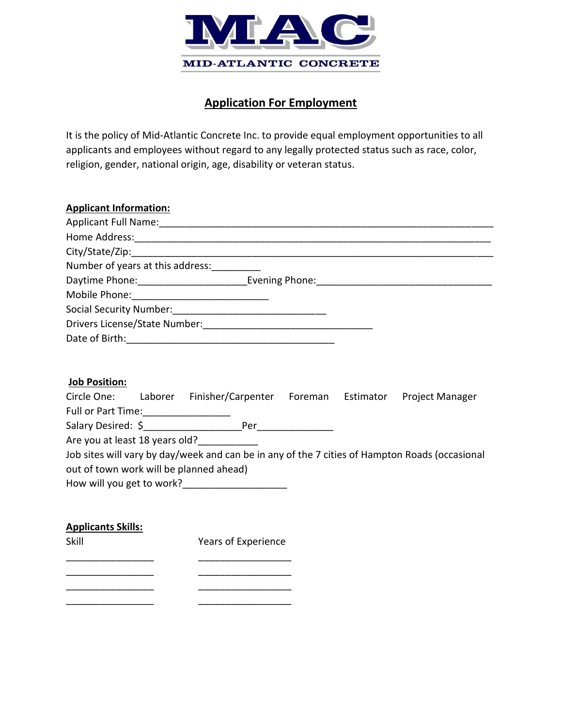

# **Application For Employment**

It is the policy of Mid-Atlantic Concrete Inc. to provide equal employment opportunities to all applicants and employees without regard to any legally protected status such as race, color, religion, gender, national origin, age, disability or veteran status.

| Applicant Full Name: Manual Applicant Full Name: |
|--------------------------------------------------|
|                                                  |
|                                                  |
| Number of years at this address:                 |
| Daytime Phone: Evening Phone: Evening Phone:     |
| Mobile Phone: 2008                               |
| Social Security Number: Social Security Number:  |
|                                                  |
|                                                  |
|                                                  |

#### **Job Position:**

| Circle One:                    | Laborer | Finisher/Carpenter                                                                             | Foreman | Estimator | <b>Project Manager</b> |
|--------------------------------|---------|------------------------------------------------------------------------------------------------|---------|-----------|------------------------|
| Full or Part Time:             |         |                                                                                                |         |           |                        |
| Salary Desired: \$             |         | Per                                                                                            |         |           |                        |
| Are you at least 18 years old? |         |                                                                                                |         |           |                        |
|                                |         | Job sites will vary by day/week and can be in any of the 7 cities of Hampton Roads (occasional |         |           |                        |
|                                |         | out of town work will be planned ahead)                                                        |         |           |                        |
| How will you get to work?      |         |                                                                                                |         |           |                        |

### **Applicants Skills:**

Skill Years of Experience \_\_\_\_\_\_\_\_\_\_\_\_\_\_\_\_ \_\_\_\_\_\_\_\_\_\_\_\_\_\_\_\_\_

\_\_\_\_\_\_\_\_\_\_\_\_\_\_\_\_ \_\_\_\_\_\_\_\_\_\_\_\_\_\_\_\_\_

\_\_\_\_\_\_\_\_\_\_\_\_\_\_\_\_ \_\_\_\_\_\_\_\_\_\_\_\_\_\_\_\_\_ \_\_\_\_\_\_\_\_\_\_\_\_\_\_\_\_ \_\_\_\_\_\_\_\_\_\_\_\_\_\_\_\_\_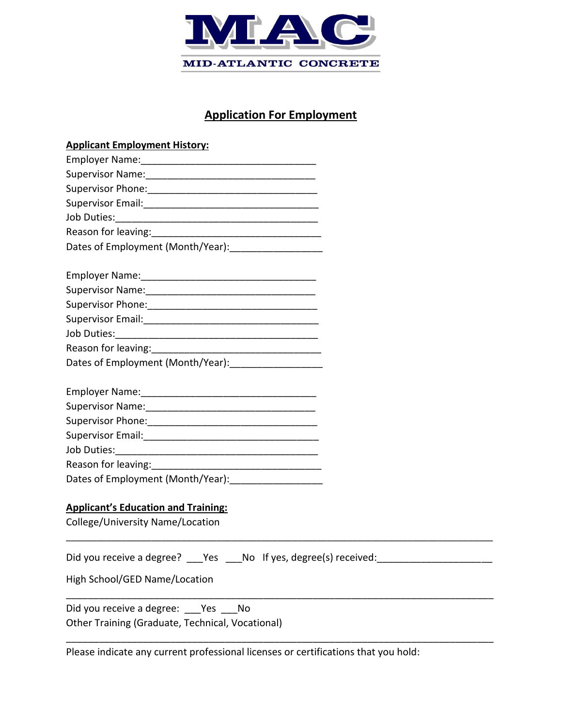

# **Application For Employment**

| <b>Applicant Employment History:</b>                                                                                                                                                                                           |
|--------------------------------------------------------------------------------------------------------------------------------------------------------------------------------------------------------------------------------|
|                                                                                                                                                                                                                                |
|                                                                                                                                                                                                                                |
|                                                                                                                                                                                                                                |
|                                                                                                                                                                                                                                |
|                                                                                                                                                                                                                                |
|                                                                                                                                                                                                                                |
| Dates of Employment (Month/Year): [1994] [1994] [1994] [1994] [1994] [1994] [1994] [1994] [1994] [1994] [1994] [1994] [1994] [1994] [1994] [1994] [1994] [1994] [1994] [1994] [1994] [1994] [1994] [1994] [1994] [1994] [1994] |
|                                                                                                                                                                                                                                |
|                                                                                                                                                                                                                                |
|                                                                                                                                                                                                                                |
|                                                                                                                                                                                                                                |
|                                                                                                                                                                                                                                |
|                                                                                                                                                                                                                                |
| Dates of Employment (Month/Year): 2000 2010                                                                                                                                                                                    |
|                                                                                                                                                                                                                                |
|                                                                                                                                                                                                                                |
|                                                                                                                                                                                                                                |
|                                                                                                                                                                                                                                |
|                                                                                                                                                                                                                                |
|                                                                                                                                                                                                                                |
|                                                                                                                                                                                                                                |
| Dates of Employment (Month/Year): ____________________                                                                                                                                                                         |
|                                                                                                                                                                                                                                |
| <b>Applicant's Education and Training:</b>                                                                                                                                                                                     |
| College/University Name/Location                                                                                                                                                                                               |
| Did you receive a degree? ___ Yes ___ No If yes, degree(s) received:                                                                                                                                                           |
| High School/GED Name/Location                                                                                                                                                                                                  |
| Did you receive a degree: Yes No                                                                                                                                                                                               |
| Other Training (Graduate, Technical, Vocational)                                                                                                                                                                               |
| Please indicate any current professional licenses or certifications that you hold:                                                                                                                                             |